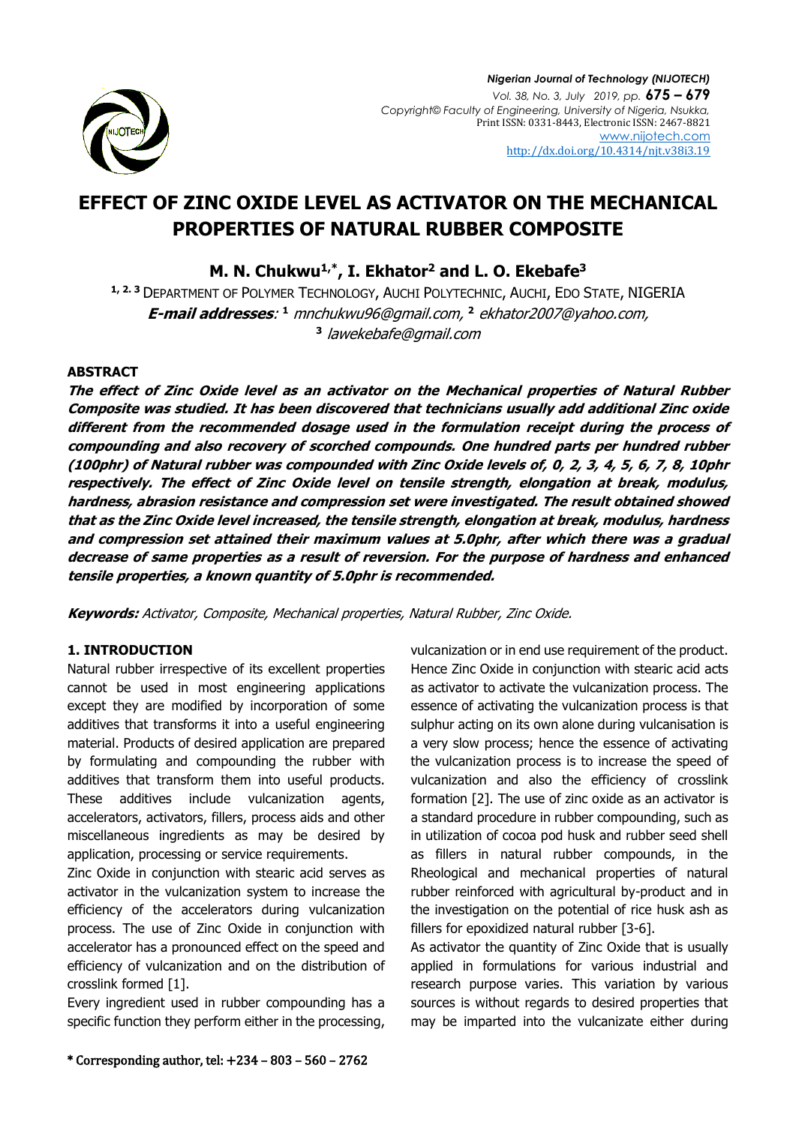

# **EFFECT OF ZINC OXIDE LEVEL AS ACTIVATOR ON THE MECHANICAL PROPERTIES OF NATURAL RUBBER COMPOSITE**

**M. N. Chukwu1,\* , I. Ekhator<sup>2</sup> and L. O. Ekebafe<sup>3</sup>**

**1, 2. <sup>3</sup>** DEPARTMENT OF POLYMER TECHNOLOGY, AUCHI POLYTECHNIC, AUCHI, EDO STATE, NIGERIA **E-mail addresses**: **<sup>1</sup>** [mnchukwu96@gmail.com,](mailto:mnchukwu96@gmail.com) **<sup>2</sup>** ekhato[r2007@yahoo.com,](mailto:2007@yahoo.com) **3** [lawekebafe@gmail.com](mailto:lawekebafe@gmail.com)

## **ABSTRACT**

**The effect of Zinc Oxide level as an activator on the Mechanical properties of Natural Rubber Composite was studied. It has been discovered that technicians usually add additional Zinc oxide different from the recommended dosage used in the formulation receipt during the process of compounding and also recovery of scorched compounds. One hundred parts per hundred rubber (100phr) of Natural rubber was compounded with Zinc Oxide levels of, 0, 2, 3, 4, 5, 6, 7, 8, 10phr respectively. The effect of Zinc Oxide level on tensile strength, elongation at break, modulus, hardness, abrasion resistance and compression set were investigated. The result obtained showed that as the Zinc Oxide level increased, the tensile strength, elongation at break, modulus, hardness and compression set attained their maximum values at 5.0phr, after which there was a gradual decrease of same properties as a result of reversion. For the purpose of hardness and enhanced tensile properties, a known quantity of 5.0phr is recommended.**

**Keywords:** Activator, Composite, Mechanical properties, Natural Rubber, Zinc Oxide.

## **1. INTRODUCTION**

Natural rubber irrespective of its excellent properties cannot be used in most engineering applications except they are modified by incorporation of some additives that transforms it into a useful engineering material. Products of desired application are prepared by formulating and compounding the rubber with additives that transform them into useful products. These additives include vulcanization agents, accelerators, activators, fillers, process aids and other miscellaneous ingredients as may be desired by application, processing or service requirements.

Zinc Oxide in conjunction with stearic acid serves as activator in the vulcanization system to increase the efficiency of the accelerators during vulcanization process. The use of Zinc Oxide in conjunction with accelerator has a pronounced effect on the speed and efficiency of vulcanization and on the distribution of crosslink formed [1].

Every ingredient used in rubber compounding has a specific function they perform either in the processing,

vulcanization or in end use requirement of the product. Hence Zinc Oxide in conjunction with stearic acid acts as activator to activate the vulcanization process. The essence of activating the vulcanization process is that sulphur acting on its own alone during vulcanisation is a very slow process; hence the essence of activating the vulcanization process is to increase the speed of vulcanization and also the efficiency of crosslink formation [2]. The use of zinc oxide as an activator is a standard procedure in rubber compounding, such as in utilization of cocoa pod husk and rubber seed shell as fillers in natural rubber compounds, in the Rheological and mechanical properties of natural rubber reinforced with agricultural by-product and in the investigation on the potential of rice husk ash as fillers for epoxidized natural rubber [3-6].

As activator the quantity of Zinc Oxide that is usually applied in formulations for various industrial and research purpose varies. This variation by various sources is without regards to desired properties that may be imparted into the vulcanizate either during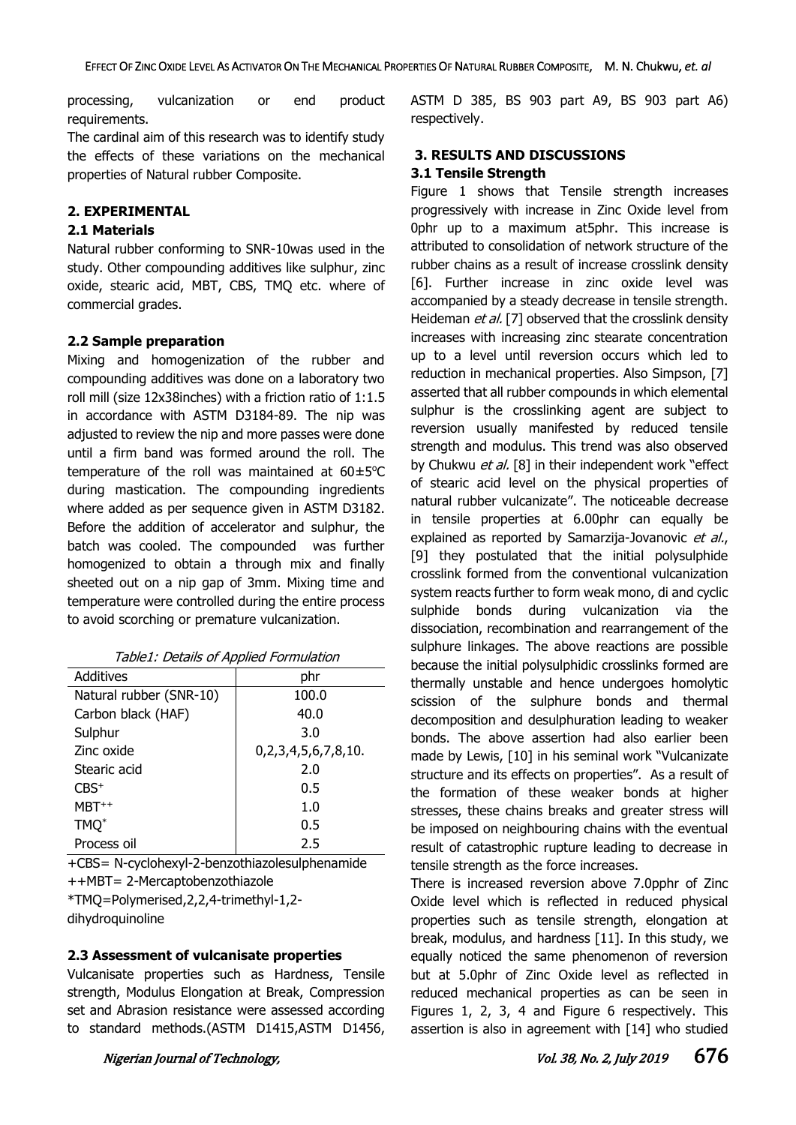processing, vulcanization or end product requirements.

The cardinal aim of this research was to identify study the effects of these variations on the mechanical properties of Natural rubber Composite.

## **2. EXPERIMENTAL**

## **2.1 Materials**

Natural rubber conforming to SNR-10was used in the study. Other compounding additives like sulphur, zinc oxide, stearic acid, MBT, CBS, TMQ etc. where of commercial grades.

## **2.2 Sample preparation**

Mixing and homogenization of the rubber and compounding additives was done on a laboratory two roll mill (size 12x38inches) with a friction ratio of 1:1.5 in accordance with ASTM D3184-89. The nip was adjusted to review the nip and more passes were done until a firm band was formed around the roll. The temperature of the roll was maintained at  $60 \pm 5^{\circ}$ C during mastication. The compounding ingredients where added as per sequence given in ASTM D3182. Before the addition of accelerator and sulphur, the batch was cooled. The compounded was further homogenized to obtain a through mix and finally sheeted out on a nip gap of 3mm. Mixing time and temperature were controlled during the entire process to avoid scorching or premature vulcanization.

| Additives               | phr                 |
|-------------------------|---------------------|
| Natural rubber (SNR-10) | 100.0               |
| Carbon black (HAF)      | 40.0                |
| Sulphur                 | 3.0                 |
| Zinc oxide              | 0,2,3,4,5,6,7,8,10. |
| Stearic acid            | 2.0                 |
| $CBS+$                  | 0.5                 |
| $MBT^{++}$              | 1.0                 |
| TMQ <sup>*</sup>        | 0.5                 |
| Process oil             | 2.5                 |

+CBS= N-cyclohexyl-2-benzothiazolesulphenamide ++MBT= 2-Mercaptobenzothiazole \*TMQ=Polymerised,2,2,4-trimethyl-1,2-

dihydroquinoline

## **2.3 Assessment of vulcanisate properties**

Vulcanisate properties such as Hardness, Tensile strength, Modulus Elongation at Break, Compression set and Abrasion resistance were assessed according to standard methods.(ASTM D1415,ASTM D1456, ASTM D 385, BS 903 part A9, BS 903 part A6) respectively.

# **3. RESULTS AND DISCUSSIONS 3.1 Tensile Strength**

Figure 1 shows that Tensile strength increases progressively with increase in Zinc Oxide level from 0phr up to a maximum at5phr. This increase is attributed to consolidation of network structure of the rubber chains as a result of increase crosslink density [6]. Further increase in zinc oxide level was accompanied by a steady decrease in tensile strength. Heideman et al. [7] observed that the crosslink density increases with increasing zinc stearate concentration up to a level until reversion occurs which led to reduction in mechanical properties. Also Simpson, [7] asserted that all rubber compounds in which elemental sulphur is the crosslinking agent are subject to reversion usually manifested by reduced tensile strength and modulus. This trend was also observed by Chukwu et al. [8] in their independent work "effect" of stearic acid level on the physical properties of natural rubber vulcanizate". The noticeable decrease in tensile properties at 6.00phr can equally be explained as reported by Samarzija-Jovanovic et al., [9] they postulated that the initial polysulphide crosslink formed from the conventional vulcanization system reacts further to form weak mono, di and cyclic sulphide bonds during vulcanization via the dissociation, recombination and rearrangement of the sulphure linkages. The above reactions are possible because the initial polysulphidic crosslinks formed are thermally unstable and hence undergoes homolytic scission of the sulphure bonds and thermal decomposition and desulphuration leading to weaker bonds. The above assertion had also earlier been made by Lewis, [10] in his seminal work "Vulcanizate structure and its effects on properties". As a result of the formation of these weaker bonds at higher stresses, these chains breaks and greater stress will be imposed on neighbouring chains with the eventual result of catastrophic rupture leading to decrease in tensile strength as the force increases.

There is increased reversion above 7.0pphr of Zinc Oxide level which is reflected in reduced physical properties such as tensile strength, elongation at break, modulus, and hardness [11]. In this study, we equally noticed the same phenomenon of reversion but at 5.0phr of Zinc Oxide level as reflected in reduced mechanical properties as can be seen in Figures 1, 2, 3, 4 and Figure 6 respectively. This assertion is also in agreement with [14] who studied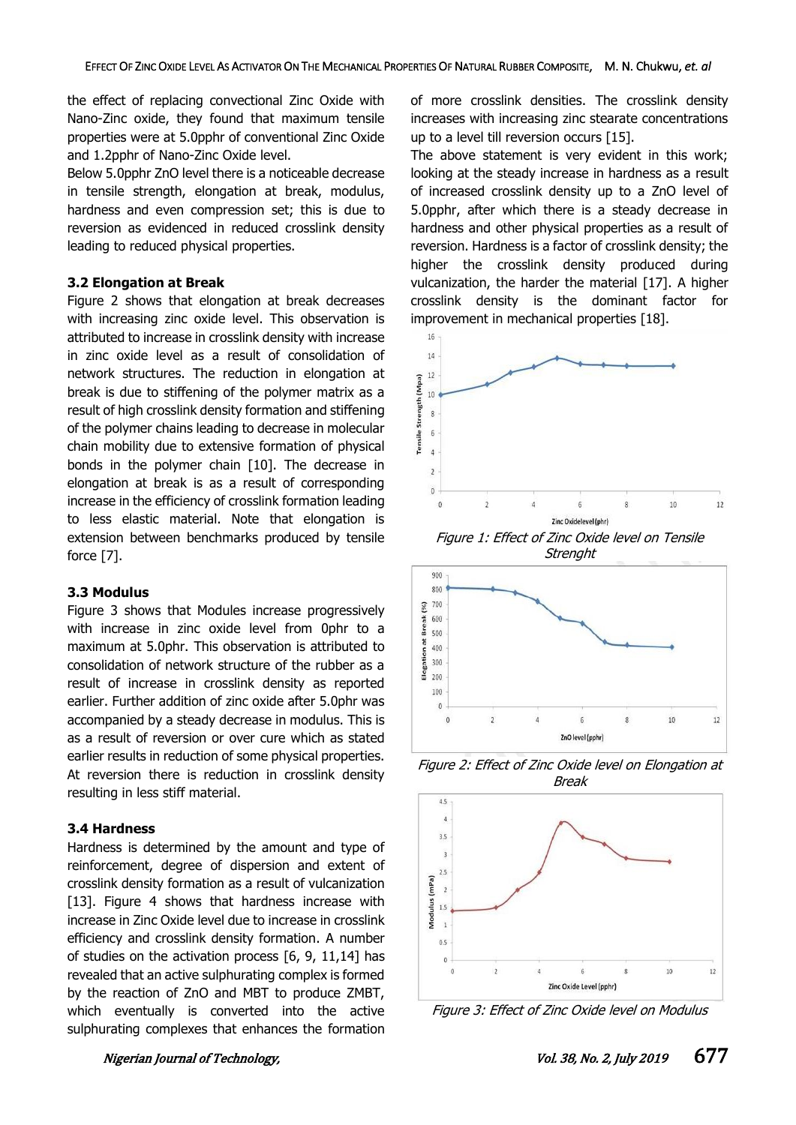the effect of replacing convectional Zinc Oxide with Nano-Zinc oxide, they found that maximum tensile properties were at 5.0pphr of conventional Zinc Oxide and 1.2pphr of Nano-Zinc Oxide level.

Below 5.0pphr ZnO level there is a noticeable decrease in tensile strength, elongation at break, modulus, hardness and even compression set; this is due to reversion as evidenced in reduced crosslink density leading to reduced physical properties.

#### **3.2 Elongation at Break**

Figure 2 shows that elongation at break decreases with increasing zinc oxide level. This observation is attributed to increase in crosslink density with increase in zinc oxide level as a result of consolidation of network structures. The reduction in elongation at break is due to stiffening of the polymer matrix as a result of high crosslink density formation and stiffening of the polymer chains leading to decrease in molecular chain mobility due to extensive formation of physical bonds in the polymer chain [10]. The decrease in elongation at break is as a result of corresponding increase in the efficiency of crosslink formation leading to less elastic material. Note that elongation is extension between benchmarks produced by tensile force [7].

#### **3.3 Modulus**

Figure 3 shows that Modules increase progressively with increase in zinc oxide level from 0phr to a maximum at 5.0phr. This observation is attributed to consolidation of network structure of the rubber as a result of increase in crosslink density as reported earlier. Further addition of zinc oxide after 5.0phr was accompanied by a steady decrease in modulus. This is as a result of reversion or over cure which as stated earlier results in reduction of some physical properties. At reversion there is reduction in crosslink density resulting in less stiff material.

#### **3.4 Hardness**

Hardness is determined by the amount and type of reinforcement, degree of dispersion and extent of crosslink density formation as a result of vulcanization [13]. Figure 4 shows that hardness increase with increase in Zinc Oxide level due to increase in crosslink efficiency and crosslink density formation. A number of studies on the activation process [6, 9, 11,14] has revealed that an active sulphurating complex is formed by the reaction of ZnO and MBT to produce ZMBT, which eventually is converted into the active sulphurating complexes that enhances the formation

of more crosslink densities. The crosslink density increases with increasing zinc stearate concentrations up to a level till reversion occurs [15].

The above statement is very evident in this work; looking at the steady increase in hardness as a result of increased crosslink density up to a ZnO level of 5.0pphr, after which there is a steady decrease in hardness and other physical properties as a result of reversion. Hardness is a factor of crosslink density; the higher the crosslink density produced during vulcanization, the harder the material [17]. A higher crosslink density is the dominant factor for improvement in mechanical properties [18].



Figure 1: Effect of Zinc Oxide level on Tensile **Strenght** 



Figure 2: Effect of Zinc Oxide level on Elongation at Break



Figure 3: Effect of Zinc Oxide level on Modulus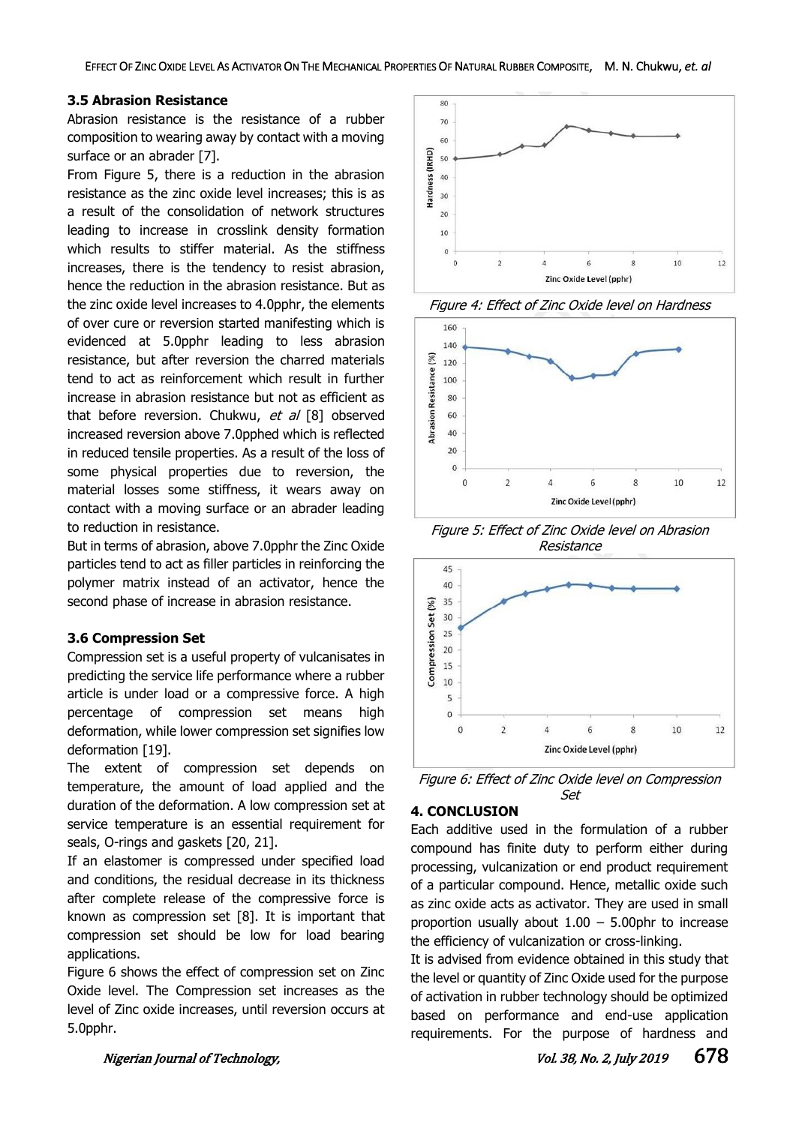#### **3.5 Abrasion Resistance**

Abrasion resistance is the resistance of a rubber composition to wearing away by contact with a moving surface or an abrader [7].

From Figure 5, there is a reduction in the abrasion resistance as the zinc oxide level increases; this is as a result of the consolidation of network structures leading to increase in crosslink density formation which results to stiffer material. As the stiffness increases, there is the tendency to resist abrasion, hence the reduction in the abrasion resistance. But as the zinc oxide level increases to 4.0pphr, the elements of over cure or reversion started manifesting which is evidenced at 5.0pphr leading to less abrasion resistance, but after reversion the charred materials tend to act as reinforcement which result in further increase in abrasion resistance but not as efficient as that before reversion. Chukwu, et al [8] observed increased reversion above 7.0pphed which is reflected in reduced tensile properties. As a result of the loss of some physical properties due to reversion, the material losses some stiffness, it wears away on contact with a moving surface or an abrader leading to reduction in resistance.

But in terms of abrasion, above 7.0pphr the Zinc Oxide particles tend to act as filler particles in reinforcing the polymer matrix instead of an activator, hence the second phase of increase in abrasion resistance.

## **3.6 Compression Set**

Compression set is a useful property of vulcanisates in predicting the service life performance where a rubber article is under load or a compressive force. A high percentage of compression set means high deformation, while lower compression set signifies low deformation [19].

The extent of compression set depends on temperature, the amount of load applied and the duration of the deformation. A low compression set at service temperature is an essential requirement for seals, O-rings and gaskets [20, 21].

If an elastomer is compressed under specified load and conditions, the residual decrease in its thickness after complete release of the compressive force is known as compression set [8]. It is important that compression set should be low for load bearing applications.

Figure 6 shows the effect of compression set on Zinc Oxide level. The Compression set increases as the level of Zinc oxide increases, until reversion occurs at 5.0pphr.



Figure 4: Effect of Zinc Oxide level on Hardness



Figure 5: Effect of Zinc Oxide level on Abrasion Resistance



Figure 6: Effect of Zinc Oxide level on Compression Set

## **4. CONCLUSION**

Each additive used in the formulation of a rubber compound has finite duty to perform either during processing, vulcanization or end product requirement of a particular compound. Hence, metallic oxide such as zinc oxide acts as activator. They are used in small proportion usually about  $1.00 - 5.00$ phr to increase the efficiency of vulcanization or cross-linking.

It is advised from evidence obtained in this study that the level or quantity of Zinc Oxide used for the purpose of activation in rubber technology should be optimized based on performance and end-use application requirements. For the purpose of hardness and